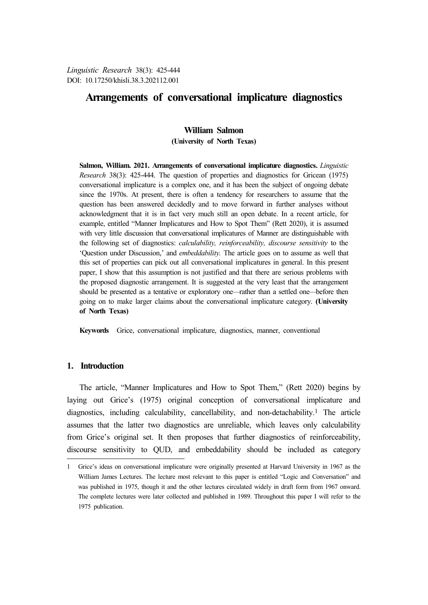# **Arrangements of conversational implicature diagnostics**

# **William Salmon**

**(University of North Texas)**

**Salmon, William. 2021. Arrangements of conversational implicature diagnostics.** *Linguistic Research* 38(3): 425-444. The question of properties and diagnostics for Gricean (1975) conversational implicature is a complex one, and it has been the subject of ongoing debate since the 1970s. At present, there is often a tendency for researchers to assume that the question has been answered decidedly and to move forward in further analyses without acknowledgment that it is in fact very much still an open debate. In a recent article, for example, entitled "Manner Implicatures and How to Spot Them" (Rett 2020), it is assumed with very little discussion that conversational implicatures of Manner are distinguishable with the following set of diagnostics: *calculability, reinforceability, discourse sensitivity* to the 'Question under Discussion,' and *embeddability.* The article goes on to assume as well that this set of properties can pick out all conversational implicatures in general. In this present paper, I show that this assumption is not justified and that there are serious problems with the proposed diagnostic arrangement. It is suggested at the very least that the arrangement should be presented as a tentative or exploratory one—rather than a settled one—before then going on to make larger claims about the conversational implicature category. **(University of North Texas)**

**Keywords** Grice, conversational implicature, diagnostics, manner, conventional

# **1. Introduction**

The article, "Manner Implicatures and How to Spot Them," (Rett 2020) begins by laying out Grice's (1975) original conception of conversational implicature and diagnostics, including calculability, cancellability, and non-detachability.1 The article assumes that the latter two diagnostics are unreliable, which leaves only calculability from Grice's original set. It then proposes that further diagnostics of reinforceability, discourse sensitivity to QUD, and embeddability should be included as category

<sup>1</sup> Grice's ideas on conversational implicature were originally presented at Harvard University in 1967 as the William James Lectures. The lecture most relevant to this paper is entitled "Logic and Conversation" and was published in 1975, though it and the other lectures circulated widely in draft form from 1967 onward. The complete lectures were later collected and published in 1989. Throughout this paper I will refer to the 1975 publication.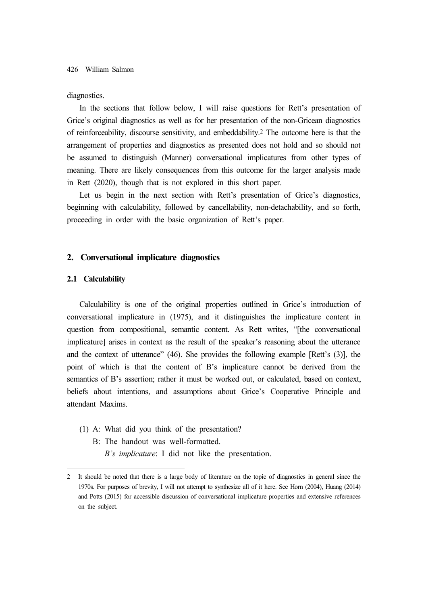#### diagnostics.

In the sections that follow below, I will raise questions for Rett's presentation of Grice's original diagnostics as well as for her presentation of the non-Gricean diagnostics of reinforceability, discourse sensitivity, and embeddability.2 The outcome here is that the arrangement of properties and diagnostics as presented does not hold and so should not be assumed to distinguish (Manner) conversational implicatures from other types of meaning. There are likely consequences from this outcome for the larger analysis made in Rett (2020), though that is not explored in this short paper.

Let us begin in the next section with Rett's presentation of Grice's diagnostics, beginning with calculability, followed by cancellability, non-detachability, and so forth, proceeding in order with the basic organization of Rett's paper.

### **2. Conversational implicature diagnostics**

#### **2.1 Calculability**

Calculability is one of the original properties outlined in Grice's introduction of conversational implicature in (1975), and it distinguishes the implicature content in question from compositional, semantic content. As Rett writes, "[the conversational implicature] arises in context as the result of the speaker's reasoning about the utterance and the context of utterance" (46). She provides the following example [Rett's (3)], the point of which is that the content of B's implicature cannot be derived from the semantics of B's assertion; rather it must be worked out, or calculated, based on context, beliefs about intentions, and assumptions about Grice's Cooperative Principle and attendant Maxims.

- (1) A: What did you think of the presentation?
	- B: The handout was well-formatted.
		- *B's implicature*: I did not like the presentation.

<sup>2</sup> It should be noted that there is a large body of literature on the topic of diagnostics in general since the 1970s. For purposes of brevity, I will not attempt to synthesize all of it here. See Horn (2004), Huang (2014) and Potts (2015) for accessible discussion of conversational implicature properties and extensive references on the subject.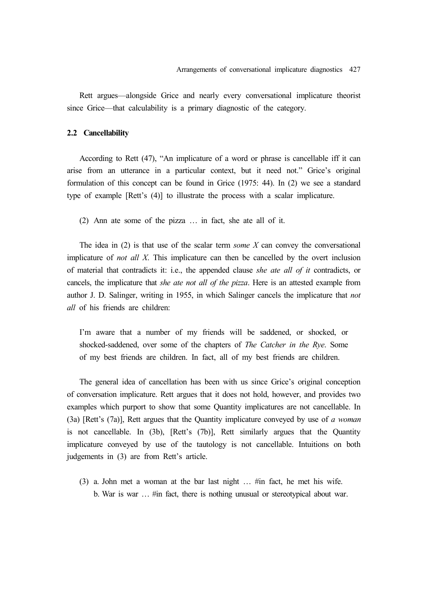Rett argues—alongside Grice and nearly every conversational implicature theorist since Grice—that calculability is a primary diagnostic of the category.

### **2.2 Cancellability**

According to Rett (47), "An implicature of a word or phrase is cancellable iff it can arise from an utterance in a particular context, but it need not." Grice's original formulation of this concept can be found in Grice (1975: 44). In (2) we see a standard type of example [Rett's (4)] to illustrate the process with a scalar implicature.

(2) Ann ate some of the pizza … in fact, she ate all of it.

The idea in (2) is that use of the scalar term *some X* can convey the conversational implicature of *not all X*. This implicature can then be cancelled by the overt inclusion of material that contradicts it: i.e., the appended clause *she ate all of it* contradicts, or cancels, the implicature that *she ate not all of the pizza*. Here is an attested example from author J. D. Salinger, writing in 1955, in which Salinger cancels the implicature that *not all* of his friends are children:

I'm aware that a number of my friends will be saddened, or shocked, or shocked-saddened, over some of the chapters of *The Catcher in the Rye*. Some of my best friends are children. In fact, all of my best friends are children.

The general idea of cancellation has been with us since Grice's original conception of conversation implicature. Rett argues that it does not hold, however, and provides two examples which purport to show that some Quantity implicatures are not cancellable. In (3a) [Rett's (7a)], Rett argues that the Quantity implicature conveyed by use of *a woman* is not cancellable. In (3b), [Rett's (7b)], Rett similarly argues that the Quantity implicature conveyed by use of the tautology is not cancellable. Intuitions on both judgements in (3) are from Rett's article.

(3) a. John met a woman at the bar last night … #in fact, he met his wife. b. War is war … #in fact, there is nothing unusual or stereotypical about war.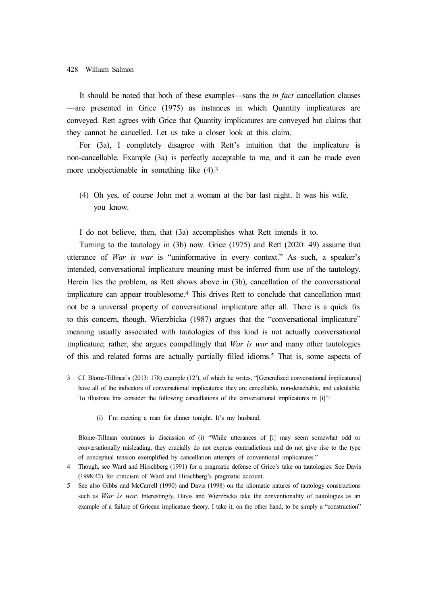It should be noted that both of these examples—sans the *in fact* cancellation clauses —are presented in Grice (1975) as instances in which Quantity implicatures are conveyed. Rett agrees with Grice that Quantity implicatures are conveyed but claims that they cannot be cancelled. Let us take a closer look at this claim.

For (3a), I completely disagree with Rett's intuition that the implicature is non-cancellable. Example (3a) is perfectly acceptable to me, and it can be made even more unobjectionable in something like  $(4)$ .<sup>3</sup>

(4) Oh yes, of course John met a woman at the bar last night. It was his wife, you know.

I do not believe, then, that (3a) accomplishes what Rett intends it to.

Turning to the tautology in (3b) now. Grice (1975) and Rett (2020: 49) assume that utterance of *War is war* is "uninformative in every context." As such, a speaker's intended, conversational implicature meaning must be inferred from use of the tautology. Herein lies the problem, as Rett shows above in (3b), cancellation of the conversational implicature can appear troublesome.4 This drives Rett to conclude that cancellation must not be a universal property of conversational implicature after all. There is a quick fix to this concern, though. Wierzbicka (1987) argues that the "conversational implicature" meaning usually associated with tautologies of this kind is not actually conversational implicature; rather, she argues compellingly that *War is war* and many other tautologies of this and related forms are actually partially filled idioms.5 That is, some aspects of

(i) I'm meeting a man for dinner tonight. It's my husband.

<sup>3</sup> Cf. Blome-Tillman's (2013: 178) example (12'), of which he writes, "[Generalized conversational implicatures] have all of the indicators of conversational implicatures: they are cancellable, non-detachable, and calculable. To illustrate this consider the following cancellations of the conversational implicatures in [i]":

Blome-Tillman continues in discussion of (i) "While utterances of [i] may seem somewhat odd or conversationally misleading, they crucially do not express contradictions and do not give rise to the type of conceptual tension exemplified by cancellation attempts of conventional implicatures."

<sup>4</sup> Though, see Ward and Hirschberg (1991) for a pragmatic defense of Grice's take on tautologies. See Davis (1998:42) for criticism of Ward and Hirschberg's pragmatic account.

<sup>5</sup> See also Gibbs and McCarrell (1990) and Davis (1998) on the idiomatic natures of tautology constructions such as *War is war*. Interestingly, Davis and Wierzbicka take the conventionality of tautologies as an example of a failure of Gricean implicature theory. I take it, on the other hand, to be simply a "construction"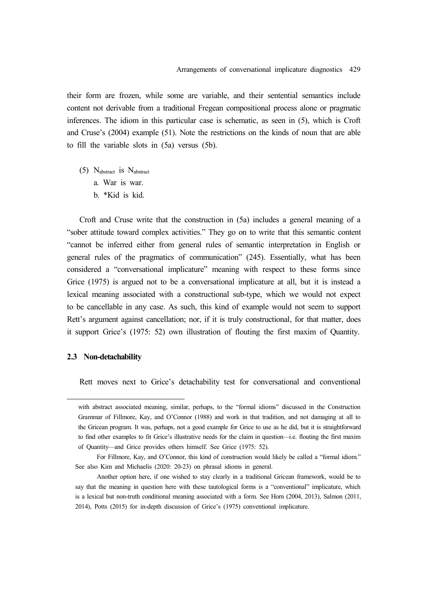their form are frozen, while some are variable, and their sentential semantics include content not derivable from a traditional Fregean compositional process alone or pragmatic inferences. The idiom in this particular case is schematic, as seen in (5), which is Croft and Cruse's (2004) example (51). Note the restrictions on the kinds of noun that are able to fill the variable slots in (5a) versus (5b).

(5) Nabstract is Nabstract a. War is war. b. \*Kid is kid.

Croft and Cruse write that the construction in (5a) includes a general meaning of a "sober attitude toward complex activities." They go on to write that this semantic content "cannot be inferred either from general rules of semantic interpretation in English or general rules of the pragmatics of communication" (245). Essentially, what has been considered a "conversational implicature" meaning with respect to these forms since Grice (1975) is argued not to be a conversational implicature at all, but it is instead a lexical meaning associated with a constructional sub-type, which we would not expect to be cancellable in any case. As such, this kind of example would not seem to support Rett's argument against cancellation; nor, if it is truly constructional, for that matter, does it support Grice's (1975: 52) own illustration of flouting the first maxim of Quantity.

# **2.3 Non-detachability**

Rett moves next to Grice's detachability test for conversational and conventional

with abstract associated meaning, similar, perhaps, to the "formal idioms" discussed in the Construction Grammar of Fillmore, Kay, and O'Connor (1988) and work in that tradition, and not damaging at all to the Gricean program. It was, perhaps, not a good example for Grice to use as he did, but it is straightforward to find other examples to fit Grice's illustrative needs for the claim in question—i.e. flouting the first maxim of Quantity—and Grice provides others himself. See Grice (1975: 52).

For Fillmore, Kay, and O'Connor, this kind of construction would likely be called a "formal idiom." See also Kim and Michaelis (2020: 20-23) on phrasal idioms in general.

Another option here, if one wished to stay clearly in a traditional Gricean framework, would be to say that the meaning in question here with these tautological forms is a "conventional" implicature, which is a lexical but non-truth conditional meaning associated with a form. See Horn (2004, 2013), Salmon (2011, 2014), Potts (2015) for in-depth discussion of Grice's (1975) conventional implicature.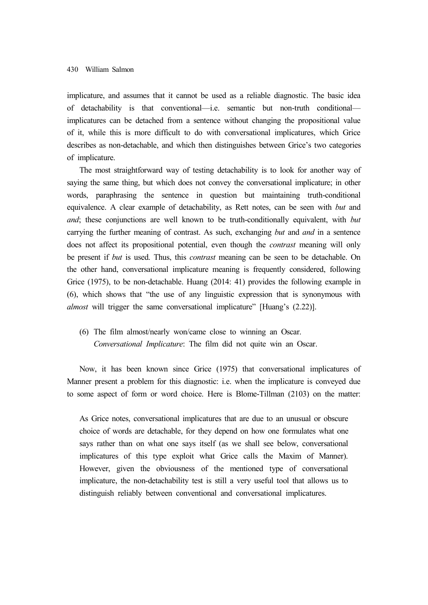implicature, and assumes that it cannot be used as a reliable diagnostic. The basic idea of detachability is that conventional—i.e. semantic but non-truth conditional implicatures can be detached from a sentence without changing the propositional value of it, while this is more difficult to do with conversational implicatures, which Grice describes as non-detachable, and which then distinguishes between Grice's two categories of implicature.

The most straightforward way of testing detachability is to look for another way of saying the same thing, but which does not convey the conversational implicature; in other words, paraphrasing the sentence in question but maintaining truth-conditional equivalence. A clear example of detachability, as Rett notes, can be seen with *but* and *and*; these conjunctions are well known to be truth-conditionally equivalent, with *but* carrying the further meaning of contrast. As such, exchanging *but* and *and* in a sentence does not affect its propositional potential, even though the *contrast* meaning will only be present if *but* is used. Thus, this *contrast* meaning can be seen to be detachable. On the other hand, conversational implicature meaning is frequently considered, following Grice (1975), to be non-detachable. Huang (2014: 41) provides the following example in (6), which shows that "the use of any linguistic expression that is synonymous with *almost* will trigger the same conversational implicature" [Huang's (2.22)].

(6) The film almost/nearly won/came close to winning an Oscar. *Conversational Implicature*: The film did not quite win an Oscar.

Now, it has been known since Grice (1975) that conversational implicatures of Manner present a problem for this diagnostic: i.e. when the implicature is conveyed due to some aspect of form or word choice. Here is Blome-Tillman (2103) on the matter:

As Grice notes, conversational implicatures that are due to an unusual or obscure choice of words are detachable, for they depend on how one formulates what one says rather than on what one says itself (as we shall see below, conversational implicatures of this type exploit what Grice calls the Maxim of Manner). However, given the obviousness of the mentioned type of conversational implicature, the non-detachability test is still a very useful tool that allows us to distinguish reliably between conventional and conversational implicatures.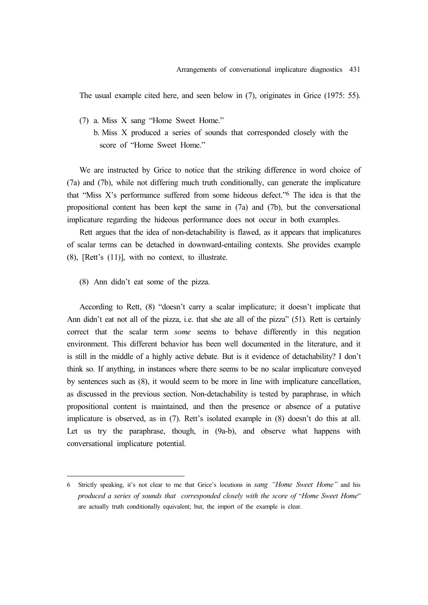The usual example cited here, and seen below in (7), originates in Grice (1975: 55).

- (7) a. Miss X sang "Home Sweet Home."
	- b. Miss X produced a series of sounds that corresponded closely with the score of "Home Sweet Home."

We are instructed by Grice to notice that the striking difference in word choice of (7a) and (7b), while not differing much truth conditionally, can generate the implicature that "Miss X's performance suffered from some hideous defect."6 The idea is that the propositional content has been kept the same in (7a) and (7b), but the conversational implicature regarding the hideous performance does not occur in both examples.

Rett argues that the idea of non-detachability is flawed, as it appears that implicatures of scalar terms can be detached in downward-entailing contexts. She provides example (8), [Rett's (11)], with no context, to illustrate.

(8) Ann didn't eat some of the pizza.

According to Rett, (8) "doesn't carry a scalar implicature; it doesn't implicate that Ann didn't eat not all of the pizza, i.e. that she ate all of the pizza" (51). Rett is certainly correct that the scalar term *some* seems to behave differently in this negation environment. This different behavior has been well documented in the literature, and it is still in the middle of a highly active debate. But is it evidence of detachability? I don't think so. If anything, in instances where there seems to be no scalar implicature conveyed by sentences such as (8), it would seem to be more in line with implicature cancellation, as discussed in the previous section. Non-detachability is tested by paraphrase, in which propositional content is maintained, and then the presence or absence of a putative implicature is observed, as in (7). Rett's isolated example in (8) doesn't do this at all. Let us try the paraphrase, though, in (9a-b), and observe what happens with conversational implicature potential.

<sup>6</sup> Strictly speaking, it's not clear to me that Grice's locutions in *sang "Home Sweet Home"* and his *produced a series of sounds that corresponded closely with the score of* "*Home Sweet Home*" are actually truth conditionally equivalent; but, the import of the example is clear.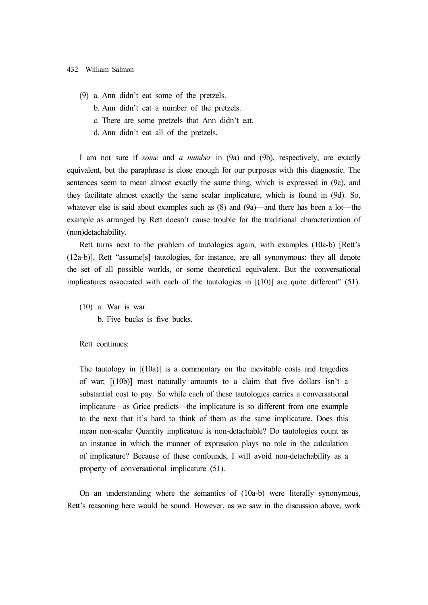- (9) a. Ann didn't eat some of the pretzels.
	- b. Ann didn't eat a number of the pretzels.
	- c. There are some pretzels that Ann didn't eat.
	- d. Ann didn't eat all of the pretzels.

I am not sure if *some* and *a number* in (9a) and (9b), respectively, are exactly equivalent, but the paraphrase is close enough for our purposes with this diagnostic. The sentences seem to mean almost exactly the same thing, which is expressed in (9c), and they facilitate almost exactly the same scalar implicature, which is found in (9d). So, whatever else is said about examples such as  $(8)$  and  $(9a)$ —and there has been a lot—the example as arranged by Rett doesn't cause trouble for the traditional characterization of (non)detachability.

Rett turns next to the problem of tautologies again, with examples (10a-b) [Rett's (12a-b)]. Rett "assume[s] tautologies, for instance, are all synonymous: they all denote the set of all possible worlds, or some theoretical equivalent. But the conversational implicatures associated with each of the tautologies in  $[(10)]$  are quite different" (51).

(10) a. War is war. b. Five bucks is five bucks.

Rett continues:

The tautology in  $[(10a)]$  is a commentary on the inevitable costs and tragedies of war; [(10b)] most naturally amounts to a claim that five dollars isn't a substantial cost to pay. So while each of these tautologies carries a conversational implicature—as Grice predicts—the implicature is so different from one example to the next that it's hard to think of them as the same implicature. Does this mean non-scalar Quantity implicature is non-detachable? Do tautologies count as an instance in which the manner of expression plays no role in the calculation of implicature? Because of these confounds, I will avoid non-detachability as a property of conversational implicature (51).

On an understanding where the semantics of (10a-b) were literally synonymous, Rett's reasoning here would be sound. However, as we saw in the discussion above, work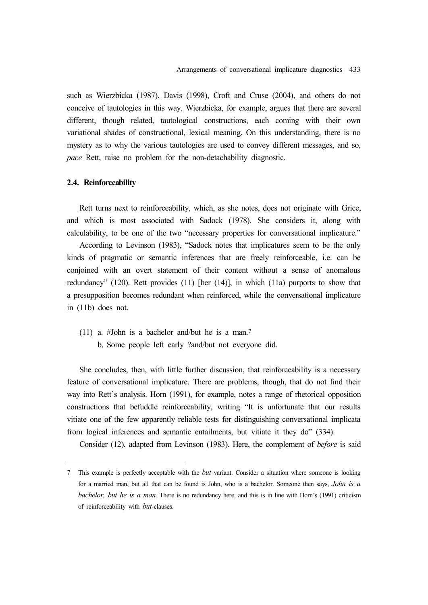such as Wierzbicka (1987), Davis (1998), Croft and Cruse (2004), and others do not conceive of tautologies in this way. Wierzbicka, for example, argues that there are several different, though related, tautological constructions, each coming with their own variational shades of constructional, lexical meaning. On this understanding, there is no mystery as to why the various tautologies are used to convey different messages, and so, *pace* Rett, raise no problem for the non-detachability diagnostic.

# **2.4. Reinforceability**

Rett turns next to reinforceability, which, as she notes, does not originate with Grice, and which is most associated with Sadock (1978). She considers it, along with calculability, to be one of the two "necessary properties for conversational implicature."

According to Levinson (1983), "Sadock notes that implicatures seem to be the only kinds of pragmatic or semantic inferences that are freely reinforceable, i.e. can be conjoined with an overt statement of their content without a sense of anomalous redundancy" (120). Rett provides (11) [her (14)], in which (11a) purports to show that a presupposition becomes redundant when reinforced, while the conversational implicature in (11b) does not.

(11) a. #John is a bachelor and/but he is a man.7 b. Some people left early ?and/but not everyone did.

She concludes, then, with little further discussion, that reinforceability is a necessary feature of conversational implicature. There are problems, though, that do not find their way into Rett's analysis. Horn (1991), for example, notes a range of rhetorical opposition constructions that befuddle reinforceability, writing "It is unfortunate that our results vitiate one of the few apparently reliable tests for distinguishing conversational implicata from logical inferences and semantic entailments, but vitiate it they do" (334).

Consider (12), adapted from Levinson (1983). Here, the complement of *before* is said

<sup>7</sup> This example is perfectly acceptable with the *but* variant. Consider a situation where someone is looking for a married man, but all that can be found is John, who is a bachelor. Someone then says, *John is a bachelor, but he is a man*. There is no redundancy here, and this is in line with Horn's (1991) criticism of reinforceability with *but*-clauses.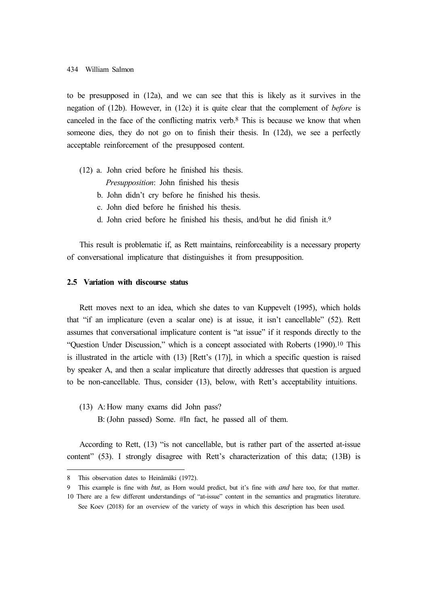to be presupposed in (12a), and we can see that this is likely as it survives in the negation of (12b). However, in (12c) it is quite clear that the complement of *before* is canceled in the face of the conflicting matrix verb.8 This is because we know that when someone dies, they do not go on to finish their thesis. In (12d), we see a perfectly acceptable reinforcement of the presupposed content.

(12) a. John cried before he finished his thesis.

*Presupposition*: John finished his thesis

- b. John didn't cry before he finished his thesis.
- c. John died before he finished his thesis.
- d. John cried before he finished his thesis, and/but he did finish it.9

This result is problematic if, as Rett maintains, reinforceability is a necessary property of conversational implicature that distinguishes it from presupposition.

# **2.5 Variation with discourse status**

Rett moves next to an idea, which she dates to van Kuppevelt (1995), which holds that "if an implicature (even a scalar one) is at issue, it isn't cancellable" (52). Rett assumes that conversational implicature content is "at issue" if it responds directly to the "Question Under Discussion," which is a concept associated with Roberts (1990).10 This is illustrated in the article with (13) [Rett's (17)], in which a specific question is raised by speaker A, and then a scalar implicature that directly addresses that question is argued to be non-cancellable. Thus, consider (13), below, with Rett's acceptability intuitions.

(13) A: How many exams did John pass? B: (John passed) Some. #In fact, he passed all of them.

According to Rett, (13) "is not cancellable, but is rather part of the asserted at-issue content" (53). I strongly disagree with Rett's characterization of this data; (13B) is

<sup>8</sup> This observation dates to Heinämäki (1972).

<sup>9</sup> This example is fine with *but*, as Horn would predict, but it's fine with *and* here too, for that matter.

<sup>10</sup> There are a few different understandings of "at-issue" content in the semantics and pragmatics literature. See Koev (2018) for an overview of the variety of ways in which this description has been used.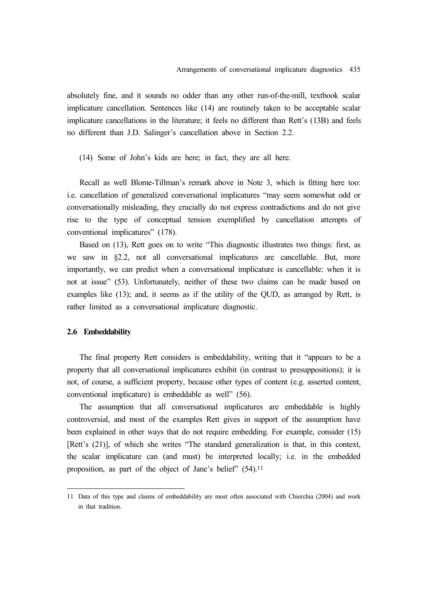absolutely fine, and it sounds no odder than any other run-of-the-mill, textbook scalar implicature cancellation. Sentences like (14) are routinely taken to be acceptable scalar implicature cancellations in the literature; it feels no different than Rett's (13B) and feels no different than J.D. Salinger's cancellation above in Section 2.2.

(14) Some of John's kids are here; in fact, they are all here.

Recall as well Blome-Tillman's remark above in Note 3, which is fitting here too: i.e. cancellation of generalized conversational implicatures "may seem somewhat odd or conversationally misleading, they crucially do not express contradictions and do not give rise to the type of conceptual tension exemplified by cancellation attempts of conventional implicatures" (178).

Based on (13), Rett goes on to write "This diagnostic illustrates two things: first, as we saw in §2.2, not all conversational implicatures are cancellable. But, more importantly, we can predict when a conversational implicature is cancellable: when it is not at issue" (53). Unfortunately, neither of these two claims can be made based on examples like (13); and, it seems as if the utility of the QUD, as arranged by Rett, is rather limited as a conversational implicature diagnostic.

# **2.6 Embeddability**

The final property Rett considers is embeddability, writing that it "appears to be a property that all conversational implicatures exhibit (in contrast to presuppositions); it is not, of course, a sufficient property, because other types of content (e.g. asserted content, conventional implicature) is embeddable as well" (56).

The assumption that all conversational implicatures are embeddable is highly controversial, and most of the examples Rett gives in support of the assumption have been explained in other ways that do not require embedding. For example, consider (15) [Rett's (21)], of which she writes "The standard generalization is that, in this context, the scalar implicature can (and must) be interpreted locally; i.e. in the embedded proposition, as part of the object of Jane's belief" (54).<sup>11</sup>

<sup>11</sup> Data of this type and claims of embeddability are most often associated with Chierchia (2004) and work in that tradition.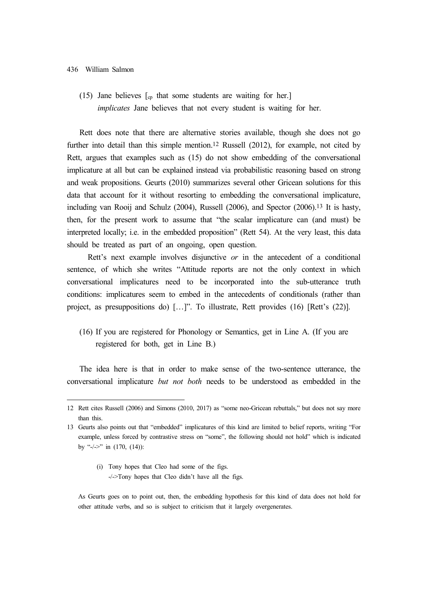#### 436 William Salmon

(15) Jane believes  $\lceil_{cp}$  that some students are waiting for her. *implicates* Jane believes that not every student is waiting for her.

Rett does note that there are alternative stories available, though she does not go further into detail than this simple mention.<sup>12</sup> Russell (2012), for example, not cited by Rett, argues that examples such as (15) do not show embedding of the conversational implicature at all but can be explained instead via probabilistic reasoning based on strong and weak propositions. Geurts (2010) summarizes several other Gricean solutions for this data that account for it without resorting to embedding the conversational implicature, including van Rooij and Schulz (2004), Russell (2006), and Spector (2006).13 It is hasty, then, for the present work to assume that "the scalar implicature can (and must) be interpreted locally; i.e. in the embedded proposition" (Rett 54). At the very least, this data should be treated as part of an ongoing, open question.

Rett's next example involves disjunctive *or* in the antecedent of a conditional sentence, of which she writes "Attitude reports are not the only context in which conversational implicatures need to be incorporated into the sub-utterance truth conditions: implicatures seem to embed in the antecedents of conditionals (rather than project, as presuppositions do) […]". To illustrate, Rett provides (16) [Rett's (22)].

(16) If you are registered for Phonology or Semantics, get in Line A. (If you are registered for both, get in Line B.)

The idea here is that in order to make sense of the two-sentence utterance, the conversational implicature *but not both* needs to be understood as embedded in the

<sup>12</sup> Rett cites Russell (2006) and Simons (2010, 2017) as "some neo-Gricean rebuttals," but does not say more than this.

<sup>13</sup> Geurts also points out that "embedded" implicatures of this kind are limited to belief reports, writing "For example, unless forced by contrastive stress on "some", the following should not hold" which is indicated by "- $\left(-\right)$ " in (170, (14)):

<sup>(</sup>i) Tony hopes that Cleo had some of the figs. -/->Tony hopes that Cleo didn't have all the figs.

As Geurts goes on to point out, then, the embedding hypothesis for this kind of data does not hold for other attitude verbs, and so is subject to criticism that it largely overgenerates.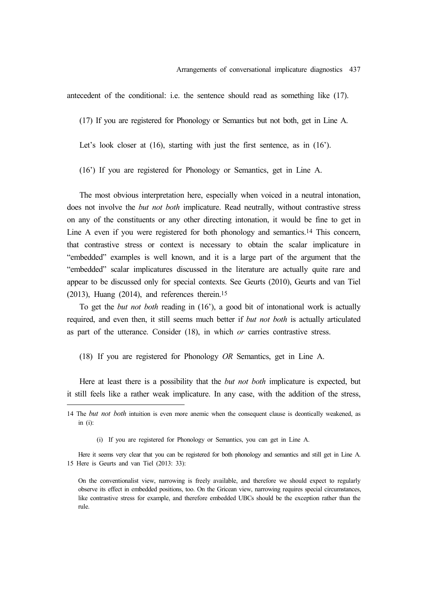antecedent of the conditional: i.e. the sentence should read as something like (17).

(17) If you are registered for Phonology or Semantics but not both, get in Line A.

Let's look closer at (16), starting with just the first sentence, as in (16').

(16') If you are registered for Phonology or Semantics, get in Line A.

The most obvious interpretation here, especially when voiced in a neutral intonation, does not involve the *but not both* implicature. Read neutrally, without contrastive stress on any of the constituents or any other directing intonation, it would be fine to get in Line A even if you were registered for both phonology and semantics.14 This concern, that contrastive stress or context is necessary to obtain the scalar implicature in "embedded" examples is well known, and it is a large part of the argument that the "embedded" scalar implicatures discussed in the literature are actually quite rare and appear to be discussed only for special contexts. See Geurts (2010), Geurts and van Tiel (2013), Huang (2014), and references therein.15

To get the *but not both* reading in (16'), a good bit of intonational work is actually required, and even then, it still seems much better if *but not both* is actually articulated as part of the utterance. Consider (18), in which *or* carries contrastive stress.

(18) If you are registered for Phonology *OR* Semantics, get in Line A.

Here at least there is a possibility that the *but not both* implicature is expected, but it still feels like a rather weak implicature. In any case, with the addition of the stress,

<sup>14</sup> The *but not both* intuition is even more anemic when the consequent clause is deontically weakened, as in (i):

<sup>(</sup>i) If you are registered for Phonology or Semantics, you can get in Line A.

Here it seems very clear that you can be registered for both phonology and semantics and still get in Line A. 15 Here is Geurts and van Tiel (2013: 33):

On the conventionalist view, narrowing is freely available, and therefore we should expect to regularly observe its effect in embedded positions, too. On the Gricean view, narrowing requires special circumstances, like contrastive stress for example, and therefore embedded UBCs should be the exception rather than the rule.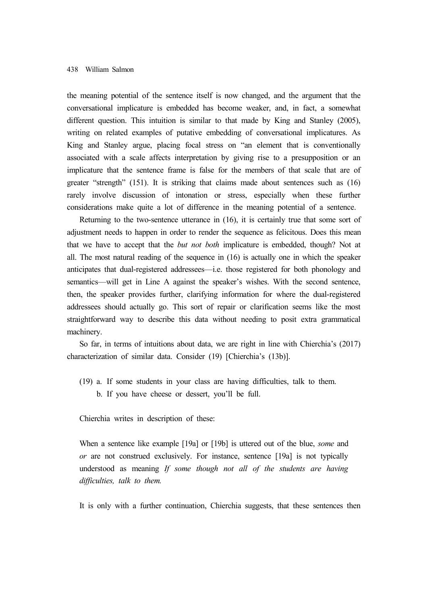the meaning potential of the sentence itself is now changed, and the argument that the conversational implicature is embedded has become weaker, and, in fact, a somewhat different question. This intuition is similar to that made by King and Stanley (2005), writing on related examples of putative embedding of conversational implicatures. As King and Stanley argue, placing focal stress on "an element that is conventionally associated with a scale affects interpretation by giving rise to a presupposition or an implicature that the sentence frame is false for the members of that scale that are of greater "strength" (151). It is striking that claims made about sentences such as (16) rarely involve discussion of intonation or stress, especially when these further considerations make quite a lot of difference in the meaning potential of a sentence.

Returning to the two-sentence utterance in (16), it is certainly true that some sort of adjustment needs to happen in order to render the sequence as felicitous. Does this mean that we have to accept that the *but not both* implicature is embedded, though? Not at all. The most natural reading of the sequence in (16) is actually one in which the speaker anticipates that dual-registered addressees—i.e. those registered for both phonology and semantics—will get in Line A against the speaker's wishes. With the second sentence, then, the speaker provides further, clarifying information for where the dual-registered addressees should actually go. This sort of repair or clarification seems like the most straightforward way to describe this data without needing to posit extra grammatical machinery.

So far, in terms of intuitions about data, we are right in line with Chierchia's (2017) characterization of similar data. Consider (19) [Chierchia's (13b)].

(19) a. If some students in your class are having difficulties, talk to them. b. If you have cheese or dessert, you'll be full.

Chierchia writes in description of these:

When a sentence like example [19a] or [19b] is uttered out of the blue, *some* and *or* are not construed exclusively. For instance, sentence [19a] is not typically understood as meaning *If some though not all of the students are having difficulties, talk to them.*

It is only with a further continuation, Chierchia suggests, that these sentences then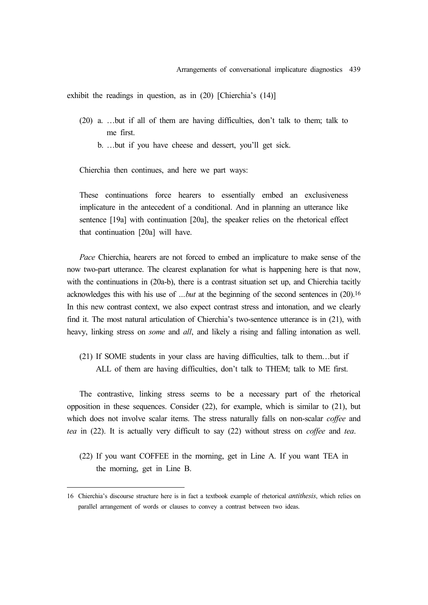exhibit the readings in question, as in (20) [Chierchia's (14)]

- (20) a. …but if all of them are having difficulties, don't talk to them; talk to me first.
	- b. …but if you have cheese and dessert, you'll get sick.

Chierchia then continues, and here we part ways:

These continuations force hearers to essentially embed an exclusiveness implicature in the antecedent of a conditional. And in planning an utterance like sentence [19a] with continuation [20a], the speaker relies on the rhetorical effect that continuation [20a] will have.

*Pace* Chierchia, hearers are not forced to embed an implicature to make sense of the now two-part utterance. The clearest explanation for what is happening here is that now, with the continuations in (20a-b), there is a contrast situation set up, and Chierchia tacitly acknowledges this with his use of *…but* at the beginning of the second sentences in (20).16 In this new contrast context, we also expect contrast stress and intonation, and we clearly find it. The most natural articulation of Chierchia's two-sentence utterance is in (21), with heavy, linking stress on *some* and *all*, and likely a rising and falling intonation as well.

(21) If SOME students in your class are having difficulties, talk to them…but if ALL of them are having difficulties, don't talk to THEM; talk to ME first.

The contrastive, linking stress seems to be a necessary part of the rhetorical opposition in these sequences. Consider (22), for example, which is similar to (21), but which does not involve scalar items. The stress naturally falls on non-scalar *coffee* and *tea* in (22). It is actually very difficult to say (22) without stress on *coffee* and *tea*.

(22) If you want COFFEE in the morning, get in Line A. If you want TEA in the morning, get in Line B.

<sup>16</sup> Chierchia's discourse structure here is in fact a textbook example of rhetorical *antithesis*, which relies on parallel arrangement of words or clauses to convey a contrast between two ideas.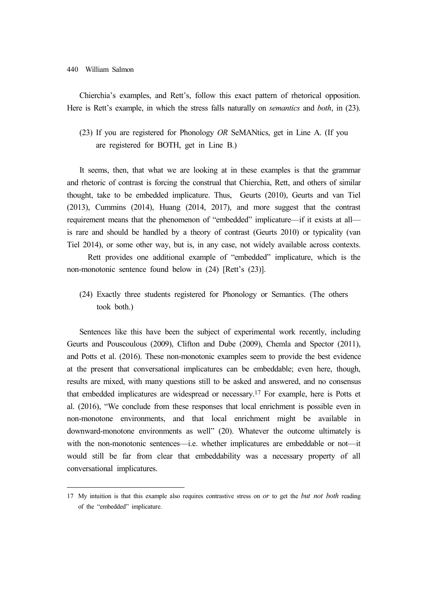#### 440 William Salmon

Chierchia's examples, and Rett's, follow this exact pattern of rhetorical opposition. Here is Rett's example, in which the stress falls naturally on *semantics* and *both*, in (23).

(23) If you are registered for Phonology *OR* SeMANtics, get in Line A. (If you are registered for BOTH, get in Line B.)

It seems, then, that what we are looking at in these examples is that the grammar and rhetoric of contrast is forcing the construal that Chierchia, Rett, and others of similar thought, take to be embedded implicature. Thus, Geurts (2010), Geurts and van Tiel (2013), Cummins (2014), Huang (2014, 2017), and more suggest that the contrast requirement means that the phenomenon of "embedded" implicature—if it exists at all is rare and should be handled by a theory of contrast (Geurts 2010) or typicality (van Tiel 2014), or some other way, but is, in any case, not widely available across contexts.

Rett provides one additional example of "embedded" implicature, which is the non-monotonic sentence found below in (24) [Rett's (23)].

(24) Exactly three students registered for Phonology or Semantics. (The others took both.)

Sentences like this have been the subject of experimental work recently, including Geurts and Pouscoulous (2009), Clifton and Dube (2009), Chemla and Spector (2011), and Potts et al. (2016). These non-monotonic examples seem to provide the best evidence at the present that conversational implicatures can be embeddable; even here, though, results are mixed, with many questions still to be asked and answered, and no consensus that embedded implicatures are widespread or necessary.17 For example, here is Potts et al. (2016), "We conclude from these responses that local enrichment is possible even in non-monotone environments, and that local enrichment might be available in downward-monotone environments as well" (20). Whatever the outcome ultimately is with the non-monotonic sentences—i.e. whether implicatures are embeddable or not—it would still be far from clear that embeddability was a necessary property of all conversational implicatures.

<sup>17</sup> My intuition is that this example also requires contrastive stress on *or* to get the *but not both* reading of the "embedded" implicature.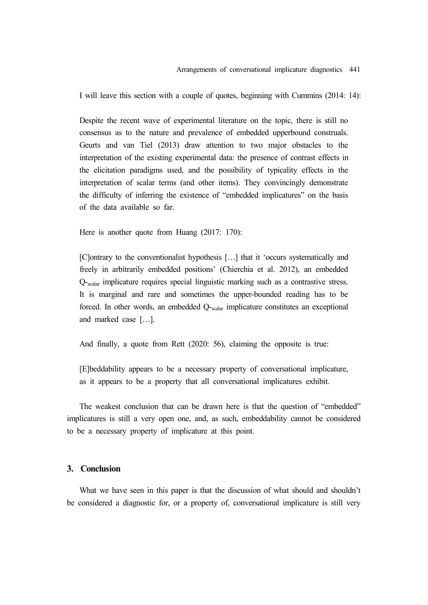I will leave this section with a couple of quotes, beginning with Cummins (2014: 14):

Despite the recent wave of experimental literature on the topic, there is still no consensus as to the nature and prevalence of embedded upperbound construals. Geurts and van Tiel (2013) draw attention to two major obstacles to the interpretation of the existing experimental data: the presence of contrast effects in the elicitation paradigms used, and the possibility of typicality effects in the interpretation of scalar terms (and other items). They convincingly demonstrate the difficulty of inferring the existence of "embedded implicatures" on the basis of the data available so far.

Here is another quote from Huang (2017: 170):

[C]ontrary to the conventionalist hypothesis […] that it 'occurs systematically and freely in arbitrarily embedded positions' (Chierchia et al. 2012), an embedded Q-scalar implicature requires special linguistic marking such as a contrastive stress. It is marginal and rare and sometimes the upper-bounded reading has to be forced. In other words, an embedded Q-scalar implicature constitutes an exceptional and marked case […].

And finally, a quote from Rett (2020: 56), claiming the opposite is true:

[E]beddability appears to be a necessary property of conversational implicature, as it appears to be a property that all conversational implicatures exhibit.

The weakest conclusion that can be drawn here is that the question of "embedded" implicatures is still a very open one, and, as such, embeddability cannot be considered to be a necessary property of implicature at this point.

# **3. Conclusion**

What we have seen in this paper is that the discussion of what should and shouldn't be considered a diagnostic for, or a property of, conversational implicature is still very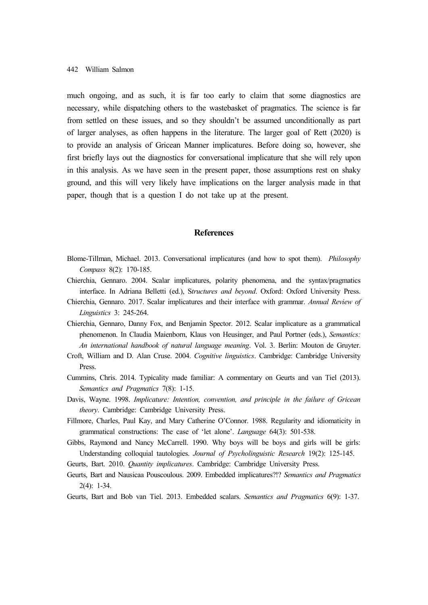much ongoing, and as such, it is far too early to claim that some diagnostics are necessary, while dispatching others to the wastebasket of pragmatics. The science is far from settled on these issues, and so they shouldn't be assumed unconditionally as part of larger analyses, as often happens in the literature. The larger goal of Rett (2020) is to provide an analysis of Gricean Manner implicatures. Before doing so, however, she first briefly lays out the diagnostics for conversational implicature that she will rely upon in this analysis. As we have seen in the present paper, those assumptions rest on shaky ground, and this will very likely have implications on the larger analysis made in that paper, though that is a question I do not take up at the present.

# **References**

- Blome-Tillman, Michael. 2013. Conversational implicatures (and how to spot them). *Philosophy Compass* 8(2): 170-185.
- Chierchia, Gennaro. 2004. Scalar implicatures, polarity phenomena, and the syntax/pragmatics interface. In Adriana Belletti (ed.), S*tructures and beyond*. Oxford: Oxford University Press.
- Chierchia, Gennaro. 2017. Scalar implicatures and their interface with grammar. *Annual Review of Linguistics* 3: 245-264.
- Chierchia, Gennaro, Danny Fox, and Benjamin Spector. 2012. Scalar implicature as a grammatical phenomenon. In Claudia Maienborn, Klaus von Heusinger, and Paul Portner (eds.), *Semantics: An international handbook of natural language meaning*. Vol. 3. Berlin: Mouton de Gruyter.
- Croft, William and D. Alan Cruse. 2004. *Cognitive linguistics*. Cambridge: Cambridge University Press.
- Cummins, Chris. 2014. Typicality made familiar: A commentary on Geurts and van Tiel (2013). *Semantics and Pragmatics* 7(8): 1-15.
- Davis, Wayne. 1998. *Implicature: Intention, convention, and principle in the failure of Gricean theory*. Cambridge: Cambridge University Press.
- Fillmore, Charles, Paul Kay, and Mary Catherine O'Connor. 1988. Regularity and idiomaticity in grammatical constructions: The case of 'let alone'. *Language* 64(3): 501-538.
- Gibbs, Raymond and Nancy McCarrell. 1990. Why boys will be boys and girls will be girls: Understanding colloquial tautologies. *Journal of Psycholinguistic Research* 19(2): 125-145.

Geurts, Bart. 2010. *Quantity implicatures*. Cambridge: Cambridge University Press.

- Geurts, Bart and Nausicaa Pouscoulous. 2009. Embedded implicatures?!? *Semantics and Pragmatics* 2(4): 1-34.
- Geurts, Bart and Bob van Tiel. 2013. Embedded scalars. *Semantics and Pragmatics* 6(9): 1-37.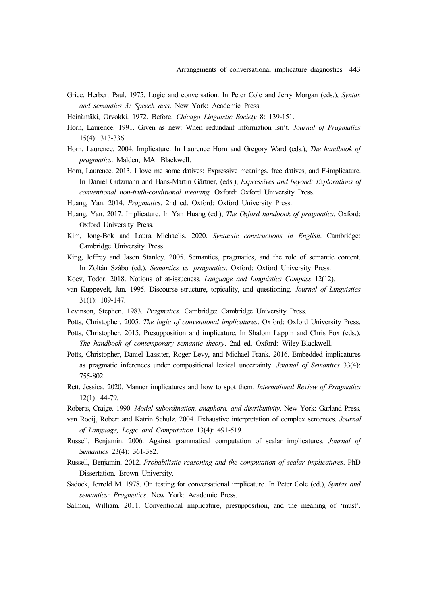- Grice, Herbert Paul. 1975. Logic and conversation. In Peter Cole and Jerry Morgan (eds.), *Syntax and semantics 3: Speech acts*. New York: Academic Press.
- Heinämäki, Orvokki. 1972. Before. *Chicago Linguistic Society* 8: 139-151.
- Horn, Laurence. 1991. Given as new: When redundant information isn't. *Journal of Pragmatics*  15(4): 313-336.
- Horn, Laurence. 2004. Implicature. In Laurence Horn and Gregory Ward (eds.), *The handbook of pragmatics*. Malden, MA: Blackwell.
- Horn, Laurence. 2013. I love me some datives: Expressive meanings, free datives, and F-implicature. In Daniel Gutzmann and Hans-Martin Gärtner, (eds.), *Expressives and beyond: Explorations of conventional non-truth-conditional meaning*. Oxford: Oxford University Press.
- Huang, Yan. 2014. *Pragmatics*. 2nd ed. Oxford: Oxford University Press.
- Huang, Yan. 2017. Implicature. In Yan Huang (ed.), *The Oxford handbook of pragmatics*. Oxford: Oxford University Press.
- Kim, Jong-Bok and Laura Michaelis. 2020. *Syntactic constructions in English*. Cambridge: Cambridge University Press.
- King, Jeffrey and Jason Stanley. 2005. Semantics, pragmatics, and the role of semantic content. In Zoltán Szábo (ed.), *Semantics vs. pragmatics*. Oxford: Oxford University Press.
- Koev, Todor. 2018. Notions of at-issueness. *Language and Linguistics Compass* 12(12).
- van Kuppevelt, Jan. 1995. Discourse structure, topicality, and questioning. *Journal of Linguistics* 31(1): 109-147.
- Levinson, Stephen. 1983. *Pragmatics*. Cambridge: Cambridge University Press.
- Potts, Christopher. 2005. *The logic of conventional implicatures*. Oxford: Oxford University Press.
- Potts, Christopher. 2015. Presupposition and implicature. In Shalom Lappin and Chris Fox (eds.), *The handbook of contemporary semantic theory*. 2nd ed. Oxford: Wiley-Blackwell.
- Potts, Christopher, Daniel Lassiter, Roger Levy, and Michael Frank. 2016. Embedded implicatures as pragmatic inferences under compositional lexical uncertainty. *Journal of Semantics* 33(4): 755-802.
- Rett, Jessica. 2020. Manner implicatures and how to spot them. *International Review of Pragmatics* 12(1): 44-79.
- Roberts, Craige. 1990. *Modal subordination, anaphora, and distributivity*. New York: Garland Press.
- van Rooij, Robert and Katrin Schulz. 2004. Exhaustive interpretation of complex sentences. *Journal of Language, Logic and Computation* 13(4): 491-519.
- Russell, Benjamin. 2006. Against grammatical computation of scalar implicatures. *Journal of Semantics* 23(4): 361-382.
- Russell, Benjamin. 2012. *Probabilistic reasoning and the computation of scalar implicatures*. PhD Dissertation. Brown University.
- Sadock, Jerrold M. 1978. On testing for conversational implicature. In Peter Cole (ed.), *Syntax and semantics: Pragmatics*. New York: Academic Press.
- Salmon, William. 2011. Conventional implicature, presupposition, and the meaning of 'must'.